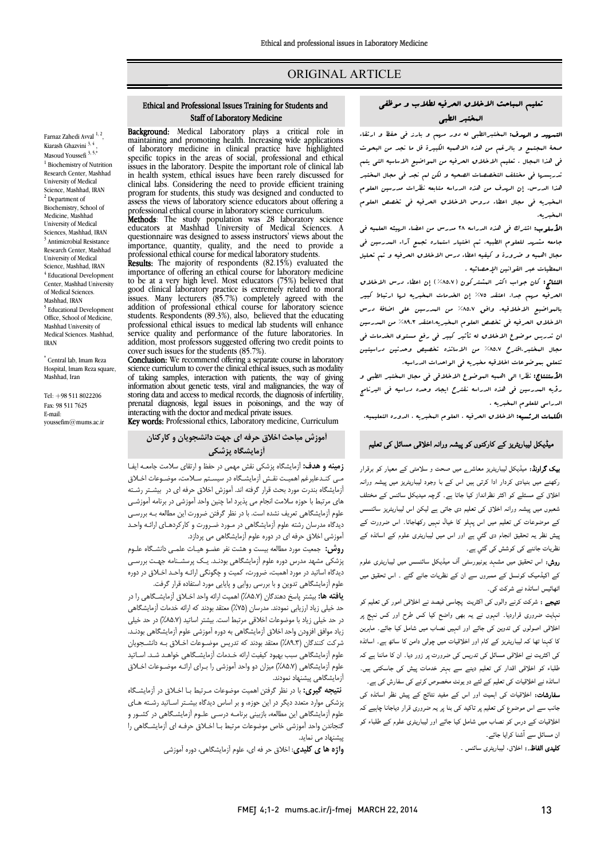# ORIGINAL ARTICLE

## تعلیم المباحث الاخلاق الحرفیه لطلاب و موظفی المختبر الطبی

Ī ֦

ا**لتمهید و الهدف:** المختبرالطبی له دور میهم و بارز فی حفظ و ارتقاء<br>. ضعة المجتبع و بالرحم من عدة الاختبية البيترة بن ما مجد من البعوت<br>في هذا البجال . تعليم الاخلاق المرفیه من البواضیع الاساسیه التي یتم تدریسها فی مختلف التخصصات الصحیه و لکن لم نجد فی مجال المختبر هذا الدرس. إن الهدف من هذه الدراسه متابعه نظرات مدرسین العلوم المخبریه فی مجال اعطاء دروس الاخلاق الحرفیه فی تخصص العلوم صحۀ المجتمع و بالرغم من هذه الاهمیه الکبیرة قل ما نجد من البحوث المخبریه.

 الأسلوب: اشترك فی هذه الدراسه 28 مدرس من اعضاء الهیئه العلمیه فی جامعه مشهد للعلوم الطبیه. تم اختیار استماره تجمع آراء المدرسین فی مجال اهمیه و ضرورة و کیفیه اعطاء درس الاخلاق الحرفیه و تم تحلیل المعطیات عبر القوانین الإحصائیه .

 النتائج: کان جواب اکثر المشترکون (%85.7) إن اعطاء درس الاخلاق بالمواضیع الاخلاقیه. وافق %85.7 من المدرسین علی اضافۀ درس .<br>الاخلاق العرفیه فی تخصص العلوم البخبریه.اعتقد ۸۹.۳% من البدرسین ان تدریس موضوع الاخلاق له تأثیر کبیر فی رفع مستوي الخدمات فی مجال المختبر.اقترح %85.7 من الاساتذه تخصیص وحدتین دراسیتین تتعلق بموضوعات اخلاقیه مخبریه فی الواحدات الدراسیه. الحرفیه مهم جدا. اعتقد %75 إن الخدمات المخبریه لها ارتباط کبیر

 الأستنتاج: نظرا الی اهمیه الموضوع الاخلاقی فی مجال المختبر الطبی و رؤیه المدرسین فی هذه الدراسه نقترح ایجاد وحده دراسیه فی البرنامج الدراسی للعلوم المخبریه .

ا**لکلمات الرئسیه:** الاخلاق الحرفیه ، العلوم البخبریه ، الدوره التعلیمیه.<br>.

## $\overline{\phantom{a}}$ میڈیکل لیباریٹریز کے کارکنوں کو پیشہ ورانہ اخلاقی مسائل کی تعلیم<br>۔

**یک گراونڈ:** میڈیکل لیباریٹریز معاشر<sub>ے</sub> میں صحت و سلامتی کے معیار کو برقرار رکھنے میں بنیادی کردار ادا کرتی ہیں اس کے با وجود لیباریٹریز میں پیشہ ورانہ اخلاق کے مسئلے کو اکثر نظرانداز کیا جاتا ہے۔ گرچہ میدیکل سائنس کے مختلف شعبوں میں پیشہ ورانہ اخلاق کی تعلیم دی جاتی ہے لیکن اس لیباریٹریز سائنسس کے موضوعات کی تعلیم میں اس پہلو کا خیال نہیں رکھاجاتا۔ اس ضرورت کے<br>۔ ییش نظر یہ تحقیق انجام دی گئبی ہے اور اس میں لیباریٹری علوم کے اساتذہ کے<br>مدید مسلمان مقدمت نظریات جاننے کی کوشش کی گئی ہے۔

سریات بنسے سی سرسس سی سی ہے.<br>**روش:** اس تحقیق میں مشہد یونیورسٹی آف میڈیکل سائنسس میں لیباریٹری علوم یت ہیں۔ اس سے اس کے معبروں سے ان سے اس سے اس سے سے ہیں۔<br>کے اکیڈمیک کونسل کے معبروں سے ان کے نظریات جانے گئے ۔ اس تحقیق میں اٹھائیس اساتذہ نے شرکت کی۔

**تیجے :** شرکت کرنے والوں کی اکثریت پچاسی فیصد نے اخلاقی امور کی تعلیم کو نہایت ضروری قراردیا۔ انہوں نے یہ بھی واضح کیا کس طرح اور کس نہج پر خلاقی اصولوں کی تدوین کی جائے اور انہیں نصاب میں شامل کیا جائے۔ ماہرین کا کہنا تھا کہ لیباریٹریز کے کام اور اخلاقیات میں چولی دامن کا ساتھ ہے۔ اساتذہ کی اکثریت نے اخلاقی مسائل کی تدریس کی ضرورت پر زور دیا۔ ان کا ماننا ہے کہ<br>۔ علمباء کو اخلاقی اقدار کی تعلیم دینے سے بہتر خدمات پیش کی جاسکتی ہیں۔<br>سانس سامات کے سامنے کے مطابق کے مطابق میں میں کہ میں مطابق کے اساتذہ نے اخلاقیات کی تعلیم کے لئے دو یونٹ مخصوص کرنے کی سفارش کی ہے۔

ے مستقبل کے اس کے خورش کے اس کے دور کر رہے ہیں کہ اس کے اس کے اس کے اس کے اس کے اس کے اس کے اس کے اس کے اس کے<br>سفارشات: اخلاقیات کی اہمیت اور اس کے مفید نتائج کے پیش نظر اساتذہ کی ۔<br>جانب سے اس موضوع کی تعلیم پر تاکید کی بنا پر یہ ضروری قرار دیاجانا چاہیے کہ اخلاقیات کے درس کو نصاب میں شامل کیا جائے اور لیباریٹری علوم کے طلباء کو ن مسائل سے آشنا کرایا جائے۔

**کلیدی الفاظ۔:** اخلاق، لیباریٹری سائنس <sub>۔</sub>

#### Ethical and Professional Issues Training for Students and Staff of Laboratory Medicine

Ī 

Background: Medical Laboratory Medical a critical role in maintaining and promoting health. Increasing wide applications specific topics in the areas of social, professional and ethical issues in the laboratory. Despite the important role of clinical lab clinical labs. Considering the need to provide efficient training program tor students, this study was designed and conducted to<br>assess the views of laboratory science educators about offering a professional ethical course in laboratory science curriculum.<br>Methods The study population, was 28 laboratory s of laboratory medicine in clinical practice have highlighted in health system, ethical issues have been rarely discussed for program for students, this study was designed and conducted to

**Methods**: The study population was 28 laboratory sciences at Mashhad University of Medical Sciences. importance, quantity, quality, and the need to provide a importance, quantity, quality, and the need to provide a professional ethical course for medical laboratory students.<br>**Results:** The majority of respondents  $(82.15\%)$  evaluated the educators at Mashhad University of Medical Sciences. A questionnaire was designed to assess instructors' views about the

 importance of offering an ethical course for laboratory medicine ັ້ນ e<br>c students. Respondents (89.3%), also, believed that the educating service quality and performance of the future laboratories. In addition, most professors suggested offering two credit points to cover such issues for the students (85.7%). Results: The majority of respondents (82.15%) evaluated the to be at a very high level. Most educators (75%) believed that good clinical laboratory practice is extremely related to moral issues. Many lecturers (85.7%) completely agreed with the addition of professional ethical course for laboratory science professional ethical issues to medical lab students will enhance

**Conclusion:** We recommend offering a separate course in laboratory of taking samples, interaction with patients, the way of giving storing data and access to medical records, the diagnosis of infertility storing data and access to medical records, the diagnosis of infertility, prenatal diagnosis, legal issues in poisonings, and the way of inferreting with the dector and medical oriental issues science curriculum to cover the clinical ethical issues, such as modality information about genetic tests, viral and malignancies, the way of interacting with the doctor and medical private issues.

Key words: Professional ethics, Laboratory medicine, Curriculum

### آموزش مباحث اخلاق حرفه اي جهت دانشجویان و کارکنان آزمایشگاه پزشکی

 زمینه و هدف: آزمایشگاه پزشکی نقش مهمی در حفظ و ارتقاي سلامت جامعـه ایفـا مـی کنـدعلیرغم اهمیـت نقـش آزمایشـگاه در سیسـتم سـلامت، موضـوعات اخـلاق ارهایسده بسرت مورد باتت ترار آنزینه اسد اموزش اخانق مرتبه ای در ابیستنز رستنه<br>های مرتبط با حوزه سلامت انجام می پذیرد اما چنین واحد آموزشی در برنامه آموزشـی علوم آزمایشگاهی تعریف نشده است. با در نظر گرفتن ضرورت این مطالعه بـه بررسـی دیدگاه مدرسان رشته علوم آزمایشگاهی در مـورد ضـرورت و کارکردهـاي ارائـه واحـد آموزشی اخلاق حرفه اي در دوره علوم آزمایشگاهی می پردازد. آزمایشگاه بندرت مورد بحث قرار گرفته اند. آموزش اخلاق حرفه اي در بیشـتر رشـته

**روس،** جسید مورد متحمد بیست و مست مر حصو میت حسی<sub>ن</sub> ماست د حوم<br>پزشکی مشهد مدرس دوره علوم آزمایشگاهی بودنـد. یـک پرسشـنامه جهـت بررسـی دیدگاه اساتید در مورد اهمبت، ضرورت، کمیت و چگونگی ارائـه واحـد اخـلاق در دوره علوم آزمایشگاهی تدوین و با بررسی روایی و پایایی مورد استفاده قرار گرفت. روش: جمعیت مورد مطالعه بیست و هشت نفر عضـو هیـات علمـی دانشـگاه علـوم

 یافته ها: بیشتر پاسخ دهندگان (%85.7) اهمیت ارائه واحد اخـلاق آزمایشـگاهی را در در حیبی زیاد ارزیابی نمودند. مدرسان (۲۰۱۰) معتقد بودند که ارائه حدمات ارمایشناسی<br>در حد خیلی زیاد با موضوعات اخلاقی مرتبط است. بیشتر اساتید (۸۵.۷٪) در حد خیلی زیاد موافق افزودن واحد اخلاق آزمایشگاهی به دوره آموزشی علوم آزمایشگاهی بودنـد . شرکت کنندگان (%89.3) معتقد بودند که تدریس موضـوعات اخـلاق بـه دانشـجویان علوم آزمایشگاهی سبب بهبود کیفیت ارائه خـدمات آزمایشـگاهی خواهـد شـد. اسـاتید<br>بایسآبردیگاهی بهبدید به <sub>حر ۱</sub>٬۰۰۰٬۰۰۰٬ میر<br>آزمایشگاهی پیشنهاد نمودند. حد خیلی زیاد ارزیابی نمودند. مدرسان (%75) معتقد بودند که ارائه خدمات آزمایشگاهی علوم آزمایشگاهی (%85.7) میزان دو واحد آموزشی را بـراي ارائـه موضـوعات اخـلاق

 نتیجه گیري: با در نظر گرفتن اهمیت موضوعات مـرتبط بـا اخـلاق در آزمایشـگاه پزشکی موارد متعدد دیگر در این حوزه، و بر اساس دیدگاه بیشـتر اسـاتید رشـته هـاي علوم آزمایشگاهی این مطالعه، بازبینی برنامـه درسـی علـوم آزمایشـگاهی در کشـور و<br>قسمت استقلال استقلال در این منا گنجاندن واحد آموزشی خاص موضوعات مرتبط بـا اخـلاق حرفـه ای آزمایشـگاهی را<br>سشنـفاد مـ نماید. پیشنهاد م*ی* نماید.

واژه ها ي کلیدي: اخلاق حر فه اي، علوم آزمایشگاهی، دوره آموزشی

Farnaz Zahedi Avval <sup>1, 2</sup>, Kiarash Ghazvini 3, 4 Masoud Youssefi 3, 5,\* <sup>1</sup> Biochemistry of Nutrition Research Center, Mashhad University of Medical Science, Mashhad, IRAN <sup>2</sup> Department of Biochemistry, School of Medicine, Mashhad University of Medical Sciences, Mashhad, IRAN <sup>3</sup> Antimicrobial Resistance Research Center, Mashhad University of Medical Science, Mashhad, IRAN <sup>4</sup> Educational Development Center, Mashhad University of Medical Sciences. Mashhad, IRAN <sup>5</sup> Educational Development Office, School of Medicine, Mashhad University of Medical Sciences. Mashhad,

\* Central lab, Imam Reza Hospital, Imam Reza square, Mashhad, Iran

IRAN

Tel: +98 511 8022206 Fax: 98 511 7625 E-mail: youssefim@mums.ac.ir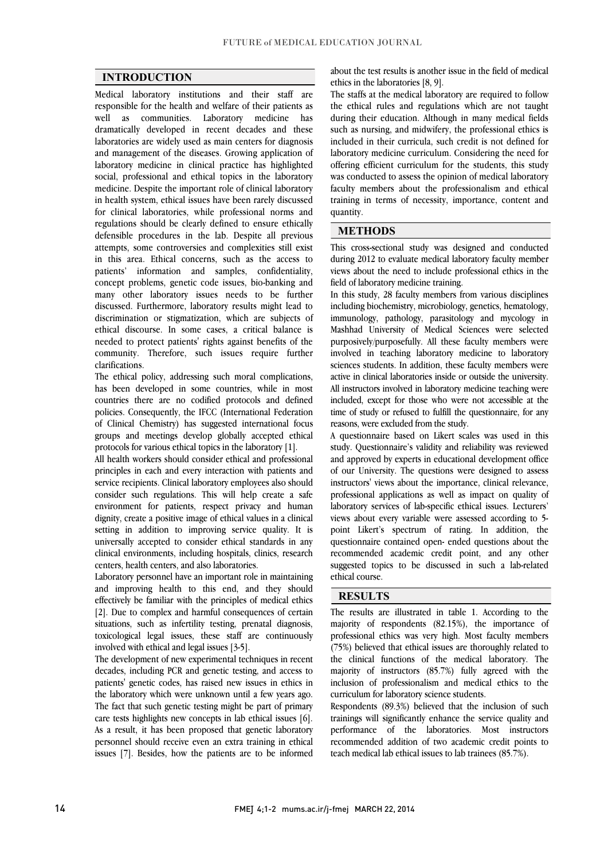$\overline{a}$  $\overline{a}$ 

### INTRODUCTION

 Medical laboratory institutions and their staff are responsible for the health and welfare of their patients as dramatically developed in recent decades and these laboratories are widely used as main centers for diagnosis and management of the diseases. Growing application of laboratory medicine in clinical practice has highlighted medicine. Despite the important role of clinical laboratory in health system, ethical issues have been rarely discussed for clinical laboratories, while professional norms and regulations should be clearly defined to ensure ethically attempts, some controversies and complexities still exist in this area. Ethical concerns, such as the access to patients' information and samples, confidentiality, concept problems, genetic code issues, bio-banking and discussed. Furthermore, laboratory results might lead to discrimination or stigmatization, which are subjects of ethical discourse. In some cases, a critical balance is community. Therefore, such issues require further well as communities. Laboratory medicine has social, professional and ethical topics in the laboratory defensible procedures in the lab. Despite all previous many other laboratory issues needs to be further needed to protect patients' rights against benefits of the clarifications.

 The ethical policy, addressing such moral complications, has been developed in some countries, while in most policies. Consequently, the IFCC (International Federation of Clinical Chemistry) has suggested international focus groups and meetings develop globally accepted ethical countries there are no codified protocols and defined protocols for various ethical topics in the laboratory [1].

protocols tor various ethical topics in the laboratory [1].<br>All health workers should consider ethical and professional principles in each and every interaction with patients and service recipients. Clinical laboratory employees also should consider such regulations. This will help create a safe environment for patients, respect privacy and human setting in addition to improving service quality. It is universally accepted to consider ethical standards in any clinical environments, including hospitals, clinics, research dignity, create a positive image of ethical values in a clinical centers, health centers, and also laboratories.

centers, neatur centers, and also laboratories.<br>Laboratory personnel have an important role in maintaining and improving health to this end, and they should effectively be familiar with the principles of medical ethics [2]. Due to complex and harmful consequences of certain toxicological legal issues, these staff are continuously j situations, such as infertility testing, prenatal diagnosis, involved with ethical and legal issues [3-5].

 The development of new experimental techniques in recent decades, including PCR and genetic testing, and access to the laboratory which were unknown until a few years ago. The fact that such genetic testing might be part of primary care tests highlights new concepts in lab ethical issues [6]. As a result, it has been proposed that genetic laboratory issues [7]. Besides, how the patients are to be informed patients' genetic codes, has raised new issues in ethics in personnel should receive even an extra training in ethical

about the test results is another issue in the field of medical ethics in the laboratories [8, 9].

 The staffs at the medical laboratory are required to follow the ethical rules and regulations which are not taught such as nursing, and midwifery, the professional ethics is included in their curricula, such credit is not defined for laboratory medicine curriculum. Considering the need for offering efficient curriculum for the students, this study faculty members about the professionalism and ethical training in terms of necessity, importance, content and during their education. Although in many medical fields was conducted to assess the opinion of medical laboratory quantity.

## METHODS

 This cross-sectional study was designed and conducted during 2012 to evaluate medical laboratory faculty member views about the need to include professional ethics in the field of laboratory medicine training.

 In this study, 28 faculty members from various disciplines including biochemistry, microbiology, genetics, hematology, immunology, pathology, parasitology and mycology in Mashhad University of Medical Sciences were selected involved in teaching laboratory medicine to laboratory sciences students. In addition, these faculty members were active in clinical laboratories inside or outside the university. All instructors involved in laboratory medicine teaching were therefore, except for above who were not accessible at the time of study or refused to fulfill the questionnaire, for any purposively/purposefully. All these faculty members were included, except for those who were not accessible at the reasons, were excluded from the study.

 A questionnaire based on Likert scales was used in this study. Questionnaire's validity and reliability was reviewed of our University. The questions were designed to assess instructors' views about the importance, clinical relevance, professional applications as well as impact on quality of views about every variable were assessed according to 5- point Likert's spectrum of rating. In addition, the questionnaire contained open- ended questions about the recommended academic credit point, and any other suggested topics to be discussed in such a lab-related<br>othical course l and approved by experts in educational development office laboratory services of lab-specific ethical issues. Lecturers' ethical course.

#### RESULTS

 The results are illustrated in table 1. According to the professional ethics was very high. Most faculty members (75%) believed that ethical issues are thoroughly related to the clinical functions of the medical laboratory. The majority of instructors (85.7%) fully agreed with the inclusion of professionalism and medical ethics to the majority of respondents (82.15%), the importance of curriculum for laboratory science students.

 $\overline{a}$ 

 Respondents (89.3%) believed that the inclusion of such trainings will significantly enhance the service quality and performance of the laboratories. Most instructors recommended addition of two academic credit points to teach medical lab ethical issues to lab trainees (85.7%) teach medical lab ethical issues to lab trainees (85.7%).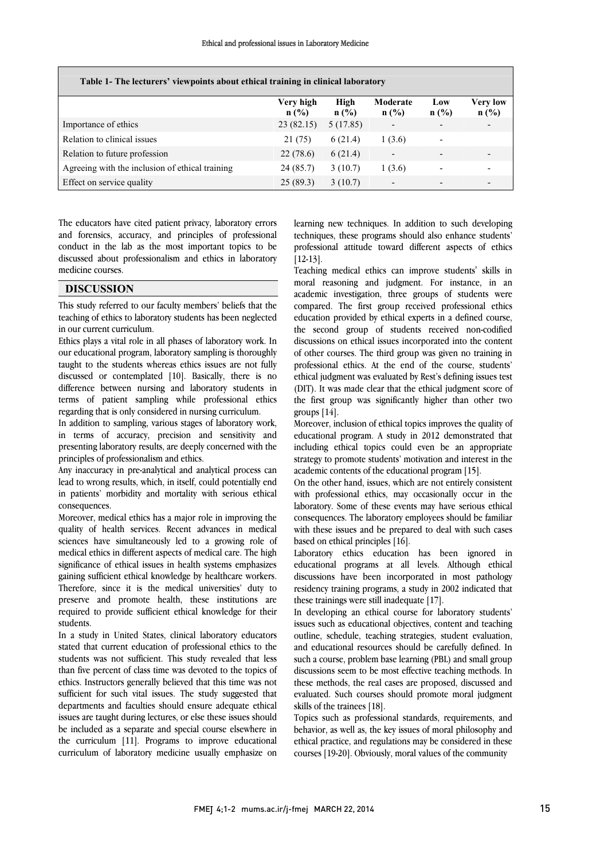l

| Table 1- The lecturers' viewpoints about ethical training in clinical laboratory |                      |              |                          |                |                                         |
|----------------------------------------------------------------------------------|----------------------|--------------|--------------------------|----------------|-----------------------------------------|
|                                                                                  | Verv high<br>$n$ (%) | High<br>n(%) | Moderate<br>n(%)         | Low<br>$n$ (%) | Very low<br>$n\left(\frac{0}{0}\right)$ |
| Importance of ethics                                                             | 23(82.15)            | 5(17.85)     |                          |                |                                         |
| Relation to clinical issues                                                      | 21(75)               | 6(21.4)      | 1(3.6)                   |                |                                         |
| Relation to future profession                                                    | 22(78.6)             | 6(21.4)      | -                        |                |                                         |
| Agreeing with the inclusion of ethical training                                  | 24(85.7)             | 3(10.7)      | 1(3.6)                   |                |                                         |
| Effect on service quality                                                        | 25(89.3)             | 3(10.7)      | $\overline{\phantom{0}}$ |                |                                         |

 and forensics, accuracy, and principles of professional conduct in the lab as the most important topics to be discussed about professionalism and ethics in laboratory The educators have cited patient privacy, laboratory errors medicine courses.

### DISCUSSION

 This study referred to our faculty members' beliefs that the teaching of ethics to laboratory students has been neglected J in our current curriculum.

 our educational program, laboratory sampling is thoroughly taught to the students whereas ethics issues are not fully discussed or contemplated [10]. Basically, there is no difference between nursing and laboratory students in terms of patient sampling while professional ethics<br>regarding that is only considered in pursing curriculum Ethics plays a vital role in all phases of laboratory work. In regarding that is only considered in nursing curriculum.

 In addition to sampling, various stages of laboratory work, in terms of accuracy, precision and sensitivity and presenting laboratory results, are deeply concerned with the principles of professionalism and ethics.

 Any inaccuracy in pre-analytical and analytical process can lead to wrong results, which, in itself, could potentially end in patients' morbidity and mortality with serious ethical consequences.

consequences.<br>Moreover, medical ethics has a major role in improving the quality of health services. Recent advances in medical sciences have simultaneously led to a growing role of medical ethics in different aspects of medical care. The high significance of ethical issues in health systems emphasizes<br>gaining sufficient ethical knowledge by healthcare workers. Therefore, since it is the medical universities' duty to preserve and promote health, these institutions are required to provide sufficient ethical knowledge for their significance of ethical issues in health systems emphasizes students.

 In a study in United States, clinical laboratory educators stated that current education of professional ethics to the students was not sufficient. This study revealed that less than five percent of class time was devoted to the topics of sufficient for such vital issues. The study suggested that departments and faculties should ensure adequate ethical issues are taught during lectures, or else these issues should be included as a separate and special course elsewhere in curriculum of laboratory medicine usually emphasize on ethics. Instructors generally believed that this time was not the curriculum [11]. Programs to improve educational

 techniques, these programs should also enhance students' professional attitude toward different aspects of ethics learning new techniques. In addition to such developing [12-13].

l

 Teaching medical ethics can improve students' skills in academic investigation, three groups of students were compared. The first group received professional ethics education provided by ethical experts in a defined course, the second group of students received non-codified of other courses. The third group was given no training in professional ethics. At the end of the course, students' ethical judgment was evaluated by Rest's defining issues test (DIT). It was made clear that the ethical judgment score of the first group was significantly higher than other two groups  $1141$ moral reasoning and judgment. For instance, in an discussions on ethical issues incorporated into the content groups [14].

 Moreover, inclusion of ethical topics improves the quality of educational program. A study in 2012 demonstrated that l<br>. strategy to promote students' motivation and interest in the<br>academic contents of the educational program [15] including ethical topics could even be an appropriate academic contents of the educational program [15].

 On the other hand, issues, which are not entirely consistent with professional ethics, may occasionally occur in the consequences. The laboratory employees should be familiar with these issues and be prepared to deal with such cases laboratory. Some of these events may have serious ethical based on ethical principles [16].

 Laboratory ethics education has been ignored in discussions have been incorporated in most pathology residency training programs, a study in 2002 indicated that educational programs at all levels. Although ethical these trainings were still inadequate [17].

 In developing an ethical course for laboratory students' outline, schedule, teaching strategies, student evaluation, and educational resources should be carefully defined. In such a course, problem base learning (PBL) and small group discussions seem to be most effective teaching methods. In evaluated. Such courses should promote moral judgment issues such as educational objectives, content and teaching these methods, the real cases are proposed, discussed and skills of the trainees [18].

 Topics such as professional standards, requirements, and behavior, as well as, the key issues of moral philosophy and courses [19-20]. Obviously, moral values of the community ethical practice, and regulations may be considered in these